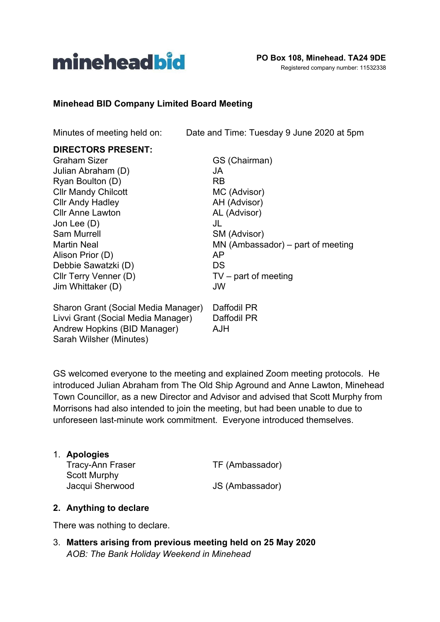

#### **Minehead BID Company Limited Board Meeting**

Minutes of meeting held on: Date and Time: Tuesday 9 June 2020 at 5pm

# **DIRECTORS PRESENT:**

| <b>Graham Sizer</b>                 | GS (Chairman)                       |
|-------------------------------------|-------------------------------------|
| Julian Abraham (D)                  | JA                                  |
| Ryan Boulton (D)                    | <b>RB</b>                           |
| <b>CIIr Mandy Chilcott</b>          | MC (Advisor)                        |
| <b>Cllr Andy Hadley</b>             | AH (Advisor)                        |
| <b>Cllr Anne Lawton</b>             | AL (Advisor)                        |
| Jon Lee $(D)$                       | JL                                  |
| <b>Sam Murrell</b>                  | SM (Advisor)                        |
| <b>Martin Neal</b>                  | $MN$ (Ambassador) – part of meeting |
| Alison Prior (D)                    | AP                                  |
| Debbie Sawatzki (D)                 | DS                                  |
| Cllr Terry Venner (D)               | $TV$ – part of meeting              |
| Jim Whittaker (D)                   | JW                                  |
| Sharon Grant (Social Media Manager) | Daffodil PR                         |
| Livvi Grant (Social Media Manager)  | Daffodil PR                         |
| Andrew Hopkins (BID Manager)        | AJH                                 |

GS welcomed everyone to the meeting and explained Zoom meeting protocols. He introduced Julian Abraham from The Old Ship Aground and Anne Lawton, Minehead Town Councillor, as a new Director and Advisor and advised that Scott Murphy from Morrisons had also intended to join the meeting, but had been unable to due to unforeseen last-minute work commitment. Everyone introduced themselves.

| 1. Apologies            |                 |
|-------------------------|-----------------|
| <b>Tracy-Ann Fraser</b> | TF (Ambassador) |
| Scott Murphy            |                 |
| Jacqui Sherwood         | JS (Ambassador) |

#### **2. Anything to declare**

Sarah Wilsher (Minutes)

There was nothing to declare.

3. **Matters arising from previous meeting held on 25 May 2020** *AOB: The Bank Holiday Weekend in Minehead*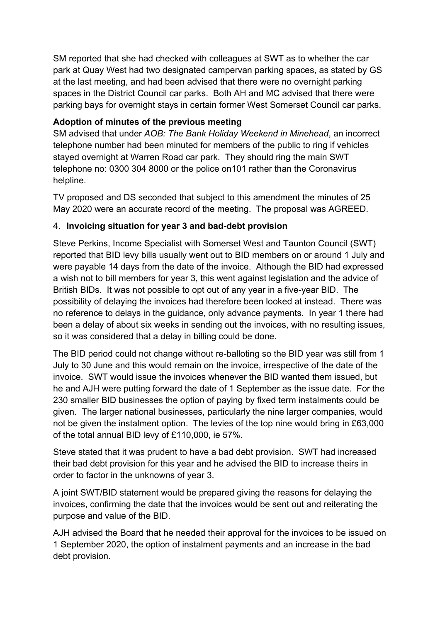SM reported that she had checked with colleagues at SWT as to whether the car park at Quay West had two designated campervan parking spaces, as stated by GS at the last meeting, and had been advised that there were no overnight parking spaces in the District Council car parks. Both AH and MC advised that there were parking bays for overnight stays in certain former West Somerset Council car parks.

### **Adoption of minutes of the previous meeting**

SM advised that under *AOB: The Bank Holiday Weekend in Minehead*, an incorrect telephone number had been minuted for members of the public to ring if vehicles stayed overnight at Warren Road car park. They should ring the main SWT telephone no: 0300 304 8000 or the police on101 rather than the Coronavirus helpline.

TV proposed and DS seconded that subject to this amendment the minutes of 25 May 2020 were an accurate record of the meeting. The proposal was AGREED.

#### 4. **Invoicing situation for year 3 and bad-debt provision**

Steve Perkins, Income Specialist with Somerset West and Taunton Council (SWT) reported that BID levy bills usually went out to BID members on or around 1 July and were payable 14 days from the date of the invoice. Although the BID had expressed a wish not to bill members for year 3, this went against legislation and the advice of British BIDs. It was not possible to opt out of any year in a five-year BID. The possibility of delaying the invoices had therefore been looked at instead. There was no reference to delays in the guidance, only advance payments. In year 1 there had been a delay of about six weeks in sending out the invoices, with no resulting issues, so it was considered that a delay in billing could be done.

The BID period could not change without re-balloting so the BID year was still from 1 July to 30 June and this would remain on the invoice, irrespective of the date of the invoice. SWT would issue the invoices whenever the BID wanted them issued, but he and AJH were putting forward the date of 1 September as the issue date. For the 230 smaller BID businesses the option of paying by fixed term instalments could be given. The larger national businesses, particularly the nine larger companies, would not be given the instalment option. The levies of the top nine would bring in £63,000 of the total annual BID levy of £110,000, ie 57%.

Steve stated that it was prudent to have a bad debt provision. SWT had increased their bad debt provision for this year and he advised the BID to increase theirs in order to factor in the unknowns of year 3.

A joint SWT/BID statement would be prepared giving the reasons for delaying the invoices, confirming the date that the invoices would be sent out and reiterating the purpose and value of the BID.

AJH advised the Board that he needed their approval for the invoices to be issued on 1 September 2020, the option of instalment payments and an increase in the bad debt provision.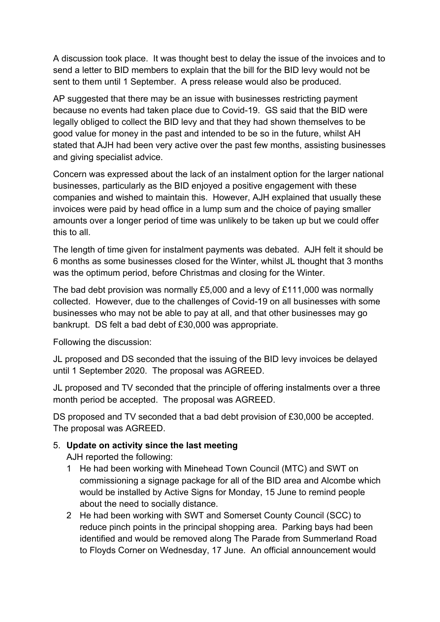A discussion took place. It was thought best to delay the issue of the invoices and to send a letter to BID members to explain that the bill for the BID levy would not be sent to them until 1 September. A press release would also be produced.

AP suggested that there may be an issue with businesses restricting payment because no events had taken place due to Covid-19. GS said that the BID were legally obliged to collect the BID levy and that they had shown themselves to be good value for money in the past and intended to be so in the future, whilst AH stated that AJH had been very active over the past few months, assisting businesses and giving specialist advice.

Concern was expressed about the lack of an instalment option for the larger national businesses, particularly as the BID enjoyed a positive engagement with these companies and wished to maintain this. However, AJH explained that usually these invoices were paid by head office in a lump sum and the choice of paying smaller amounts over a longer period of time was unlikely to be taken up but we could offer this to all.

The length of time given for instalment payments was debated. AJH felt it should be 6 months as some businesses closed for the Winter, whilst JL thought that 3 months was the optimum period, before Christmas and closing for the Winter.

The bad debt provision was normally £5,000 and a levy of £111,000 was normally collected. However, due to the challenges of Covid-19 on all businesses with some businesses who may not be able to pay at all, and that other businesses may go bankrupt. DS felt a bad debt of £30,000 was appropriate.

Following the discussion:

JL proposed and DS seconded that the issuing of the BID levy invoices be delayed until 1 September 2020. The proposal was AGREED.

JL proposed and TV seconded that the principle of offering instalments over a three month period be accepted. The proposal was AGREED.

DS proposed and TV seconded that a bad debt provision of £30,000 be accepted. The proposal was AGREED.

#### 5. **Update on activity since the last meeting**

AJH reported the following:

- 1 He had been working with Minehead Town Council (MTC) and SWT on commissioning a signage package for all of the BID area and Alcombe which would be installed by Active Signs for Monday, 15 June to remind people about the need to socially distance.
- 2 He had been working with SWT and Somerset County Council (SCC) to reduce pinch points in the principal shopping area. Parking bays had been identified and would be removed along The Parade from Summerland Road to Floyds Corner on Wednesday, 17 June. An official announcement would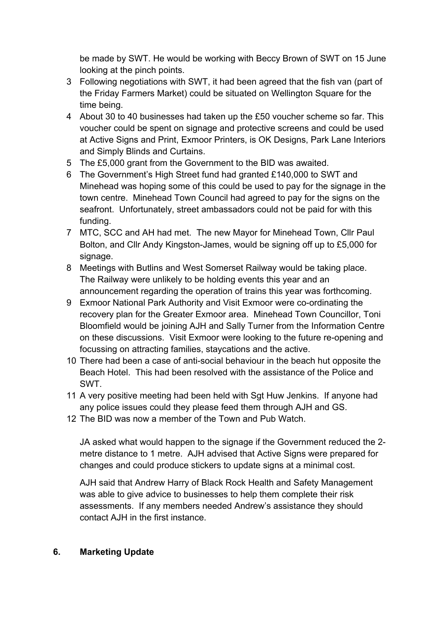be made by SWT. He would be working with Beccy Brown of SWT on 15 June looking at the pinch points.

- 3 Following negotiations with SWT, it had been agreed that the fish van (part of the Friday Farmers Market) could be situated on Wellington Square for the time being.
- 4 About 30 to 40 businesses had taken up the £50 voucher scheme so far. This voucher could be spent on signage and protective screens and could be used at Active Signs and Print, Exmoor Printers, is OK Designs, Park Lane Interiors and Simply Blinds and Curtains.
- 5 The £5,000 grant from the Government to the BID was awaited.
- 6 The Government's High Street fund had granted £140,000 to SWT and Minehead was hoping some of this could be used to pay for the signage in the town centre. Minehead Town Council had agreed to pay for the signs on the seafront. Unfortunately, street ambassadors could not be paid for with this funding.
- 7 MTC, SCC and AH had met. The new Mayor for Minehead Town, Cllr Paul Bolton, and Cllr Andy Kingston-James, would be signing off up to £5,000 for signage.
- 8 Meetings with Butlins and West Somerset Railway would be taking place. The Railway were unlikely to be holding events this year and an announcement regarding the operation of trains this year was forthcoming.
- 9 Exmoor National Park Authority and Visit Exmoor were co-ordinating the recovery plan for the Greater Exmoor area. Minehead Town Councillor, Toni Bloomfield would be joining AJH and Sally Turner from the Information Centre on these discussions. Visit Exmoor were looking to the future re-opening and focussing on attracting families, staycations and the active.
- 10 There had been a case of anti-social behaviour in the beach hut opposite the Beach Hotel. This had been resolved with the assistance of the Police and SWT.
- 11 A very positive meeting had been held with Sgt Huw Jenkins. If anyone had any police issues could they please feed them through AJH and GS.
- 12 The BID was now a member of the Town and Pub Watch.

JA asked what would happen to the signage if the Government reduced the 2 metre distance to 1 metre. AJH advised that Active Signs were prepared for changes and could produce stickers to update signs at a minimal cost.

AJH said that Andrew Harry of Black Rock Health and Safety Management was able to give advice to businesses to help them complete their risk assessments. If any members needed Andrew's assistance they should contact AJH in the first instance.

#### **6. Marketing Update**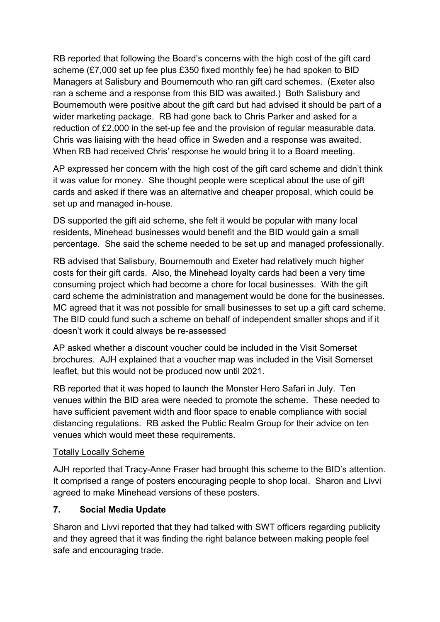RB reported that following the Board's concerns with the high cost of the gift card scheme (£7,000 set up fee plus £350 fixed monthly fee) he had spoken to BID Managers at Salisbury and Bournemouth who ran gift card schemes. (Exeter also ran a scheme and a response from this BID was awaited.) Both Salisbury and Bournemouth were positive about the gift card but had advised it should be part of a wider marketing package. RB had gone back to Chris Parker and asked for a reduction of £2,000 in the set-up fee and the provision of regular measurable data. Chris was liaising with the head office in Sweden and a response was awaited. When RB had received Chris' response he would bring it to a Board meeting.

AP expressed her concern with the high cost of the gift card scheme and didn't think it was value for money. She thought people were sceptical about the use of gift cards and asked if there was an alternative and cheaper proposal, which could be set up and managed in-house.

DS supported the gift aid scheme, she felt it would be popular with many local residents, Minehead businesses would benefit and the BID would gain a small percentage. She said the scheme needed to be set up and managed professionally.

RB advised that Salisbury, Bournemouth and Exeter had relatively much higher costs for their gift cards. Also, the Minehead loyalty cards had been a very time consuming project which had become a chore for local businesses. With the gift card scheme the administration and management would be done for the businesses. MC agreed that it was not possible for small businesses to set up a gift card scheme. The BID could fund such a scheme on behalf of independent smaller shops and if it doesn't work it could always be re-assessed

AP asked whether a discount voucher could be included in the Visit Somerset brochures. AJH explained that a voucher map was included in the Visit Somerset leaflet, but this would not be produced now until 2021.

RB reported that it was hoped to launch the Monster Hero Safari in July. Ten venues within the BID area were needed to promote the scheme. These needed to have sufficient pavement width and floor space to enable compliance with social distancing regulations. RB asked the Public Realm Group for their advice on ten venues which would meet these requirements.

#### **Totally Locally Scheme**

AJH reported that Tracy-Anne Fraser had brought this scheme to the BID's attention. It comprised a range of posters encouraging people to shop local. Sharon and Livvi agreed to make Minehead versions of these posters.

# **7. Social Media Update**

Sharon and Livvi reported that they had talked with SWT officers regarding publicity and they agreed that it was finding the right balance between making people feel safe and encouraging trade.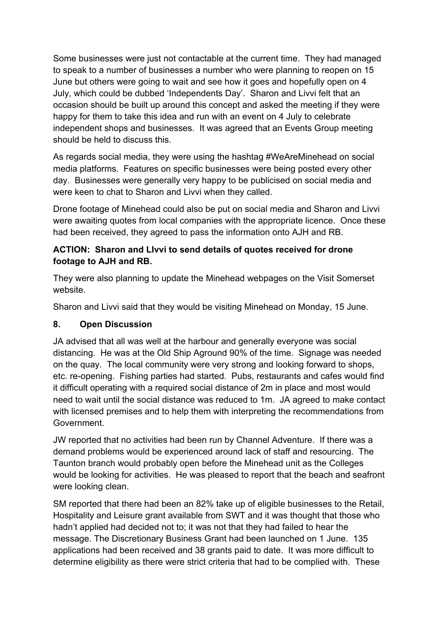Some businesses were just not contactable at the current time. They had managed to speak to a number of businesses a number who were planning to reopen on 15 June but others were going to wait and see how it goes and hopefully open on 4 July, which could be dubbed 'Independents Day'. Sharon and Livvi felt that an occasion should be built up around this concept and asked the meeting if they were happy for them to take this idea and run with an event on 4 July to celebrate independent shops and businesses. It was agreed that an Events Group meeting should be held to discuss this.

As regards social media, they were using the hashtag #WeAreMinehead on social media platforms. Features on specific businesses were being posted every other day. Businesses were generally very happy to be publicised on social media and were keen to chat to Sharon and Livvi when they called.

Drone footage of Minehead could also be put on social media and Sharon and Livvi were awaiting quotes from local companies with the appropriate licence. Once these had been received, they agreed to pass the information onto AJH and RB.

#### **ACTION: Sharon and LIvvi to send details of quotes received for drone footage to AJH and RB.**

They were also planning to update the Minehead webpages on the Visit Somerset website.

Sharon and Livvi said that they would be visiting Minehead on Monday, 15 June.

# **8. Open Discussion**

JA advised that all was well at the harbour and generally everyone was social distancing. He was at the Old Ship Aground 90% of the time. Signage was needed on the quay. The local community were very strong and looking forward to shops, etc. re-opening. Fishing parties had started. Pubs, restaurants and cafes would find it difficult operating with a required social distance of 2m in place and most would need to wait until the social distance was reduced to 1m. JA agreed to make contact with licensed premises and to help them with interpreting the recommendations from Government.

JW reported that no activities had been run by Channel Adventure. If there was a demand problems would be experienced around lack of staff and resourcing. The Taunton branch would probably open before the Minehead unit as the Colleges would be looking for activities. He was pleased to report that the beach and seafront were looking clean.

SM reported that there had been an 82% take up of eligible businesses to the Retail, Hospitality and Leisure grant available from SWT and it was thought that those who hadn't applied had decided not to; it was not that they had failed to hear the message. The Discretionary Business Grant had been launched on 1 June. 135 applications had been received and 38 grants paid to date. It was more difficult to determine eligibility as there were strict criteria that had to be complied with. These